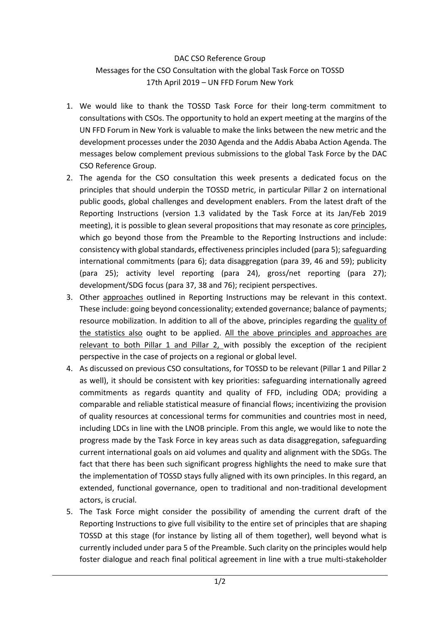## DAC CSO Reference Group Messages for the CSO Consultation with the global Task Force on TOSSD 17th April 2019 – UN FFD Forum New York

- 1. We would like to thank the TOSSD Task Force for their long-term commitment to consultations with CSOs. The opportunity to hold an expert meeting at the margins of the UN FFD Forum in New York is valuable to make the links between the new metric and the development processes under the 2030 Agenda and the Addis Ababa Action Agenda. The messages below complement previous submissions to the global Task Force by the DAC CSO Reference Group.
- 2. The agenda for the CSO consultation this week presents a dedicated focus on the principles that should underpin the TOSSD metric, in particular Pillar 2 on international public goods, global challenges and development enablers. From the latest draft of the Reporting Instructions (version 1.3 validated by the Task Force at its Jan/Feb 2019 meeting), it is possible to glean several propositions that may resonate as core principles, which go beyond those from the Preamble to the Reporting Instructions and include: consistency with global standards, effectiveness principles included (para 5); safeguarding international commitments (para 6); data disaggregation (para 39, 46 and 59); publicity (para 25); activity level reporting (para 24), gross/net reporting (para 27); development/SDG focus (para 37, 38 and 76); recipient perspectives.
- 3. Other approaches outlined in Reporting Instructions may be relevant in this context. These include: going beyond concessionality; extended governance; balance of payments; resource mobilization. In addition to all of the above, principles regarding the quality of the statistics also ought to be applied. All the above principles and approaches are relevant to both Pillar 1 and Pillar 2, with possibly the exception of the recipient perspective in the case of projects on a regional or global level.
- 4. As discussed on previous CSO consultations, for TOSSD to be relevant (Pillar 1 and Pillar 2 as well), it should be consistent with key priorities: safeguarding internationally agreed commitments as regards quantity and quality of FFD, including ODA; providing a comparable and reliable statistical measure of financial flows; incentivizing the provision of quality resources at concessional terms for communities and countries most in need, including LDCs in line with the LNOB principle. From this angle, we would like to note the progress made by the Task Force in key areas such as data disaggregation, safeguarding current international goals on aid volumes and quality and alignment with the SDGs. The fact that there has been such significant progress highlights the need to make sure that the implementation of TOSSD stays fully aligned with its own principles. In this regard, an extended, functional governance, open to traditional and non-traditional development actors, is crucial.
- 5. The Task Force might consider the possibility of amending the current draft of the Reporting Instructions to give full visibility to the entire set of principles that are shaping TOSSD at this stage (for instance by listing all of them together), well beyond what is currently included under para 5 of the Preamble. Such clarity on the principles would help foster dialogue and reach final political agreement in line with a true multi-stakeholder